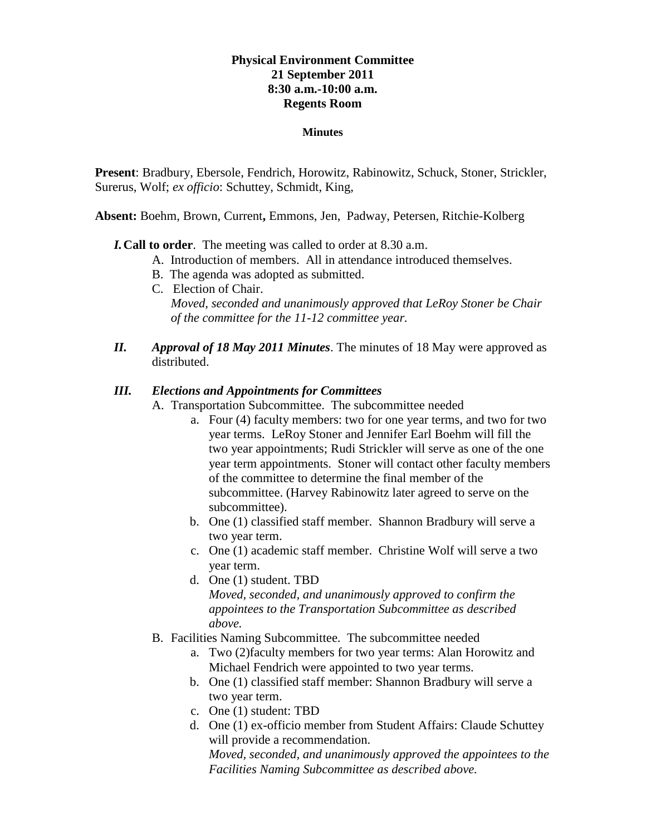# **Physical Environment Committee 21 September 2011 8:30 a.m.-10:00 a.m. Regents Room**

#### **Minutes**

**Present**: Bradbury, Ebersole, Fendrich, Horowitz, Rabinowitz, Schuck, Stoner, Strickler, Surerus, Wolf; *ex officio*: Schuttey, Schmidt, King,

**Absent:** Boehm, Brown, Current**,** Emmons, Jen, Padway, Petersen, Ritchie-Kolberg

### *I.***Call to order**. The meeting was called to order at 8.30 a.m.

- A. Introduction of members. All in attendance introduced themselves.
- B. The agenda was adopted as submitted.
- C. Election of Chair. *Moved, seconded and unanimously approved that LeRoy Stoner be Chair of the committee for the 11-12 committee year.*
- *II. Approval of 18 May 2011 Minutes*. The minutes of 18 May were approved as distributed.

### *III. Elections and Appointments for Committees*

A. Transportation Subcommittee. The subcommittee needed

- a. Four (4) faculty members: two for one year terms, and two for two year terms. LeRoy Stoner and Jennifer Earl Boehm will fill the two year appointments; Rudi Strickler will serve as one of the one year term appointments. Stoner will contact other faculty members of the committee to determine the final member of the subcommittee. (Harvey Rabinowitz later agreed to serve on the subcommittee).
- b. One (1) classified staff member. Shannon Bradbury will serve a two year term.
- c. One (1) academic staff member. Christine Wolf will serve a two year term.
- d. One (1) student. TBD *Moved, seconded, and unanimously approved to confirm the appointees to the Transportation Subcommittee as described above.*
- B. Facilities Naming Subcommittee. The subcommittee needed
	- a. Two (2)faculty members for two year terms: Alan Horowitz and Michael Fendrich were appointed to two year terms.
	- b. One (1) classified staff member: Shannon Bradbury will serve a two year term.
	- c. One (1) student: TBD
	- d. One (1) ex-officio member from Student Affairs: Claude Schuttey will provide a recommendation. *Moved, seconded, and unanimously approved the appointees to the Facilities Naming Subcommittee as described above.*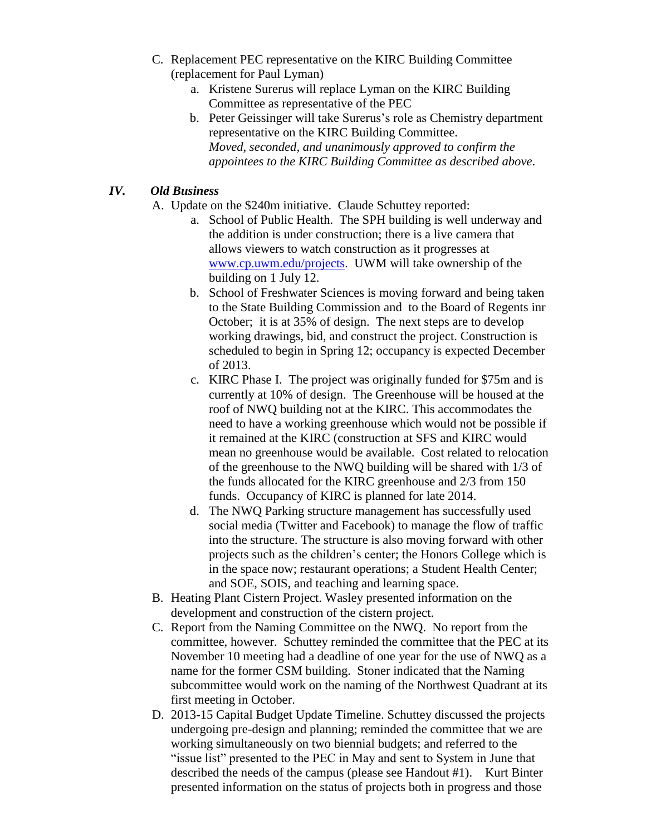- C. Replacement PEC representative on the KIRC Building Committee (replacement for Paul Lyman)
	- a. Kristene Surerus will replace Lyman on the KIRC Building Committee as representative of the PEC
	- b. Peter Geissinger will take Surerus's role as Chemistry department representative on the KIRC Building Committee. *Moved, seconded, and unanimously approved to confirm the appointees to the KIRC Building Committee as described above*.

# *IV. Old Business*

- A. Update on the \$240m initiative. Claude Schuttey reported:
	- a. School of Public Health. The SPH building is well underway and the addition is under construction; there is a live camera that allows viewers to watch construction as it progresses at [www.cp.uwm.edu/projects.](http://www.cp.uwm.edu/projects) UWM will take ownership of the building on 1 July 12.
	- b. School of Freshwater Sciences is moving forward and being taken to the State Building Commission and to the Board of Regents inr October; it is at 35% of design. The next steps are to develop working drawings, bid, and construct the project. Construction is scheduled to begin in Spring 12; occupancy is expected December of 2013.
	- c. KIRC Phase I. The project was originally funded for \$75m and is currently at 10% of design. The Greenhouse will be housed at the roof of NWQ building not at the KIRC. This accommodates the need to have a working greenhouse which would not be possible if it remained at the KIRC (construction at SFS and KIRC would mean no greenhouse would be available. Cost related to relocation of the greenhouse to the NWQ building will be shared with 1/3 of the funds allocated for the KIRC greenhouse and 2/3 from 150 funds. Occupancy of KIRC is planned for late 2014.
	- d. The NWQ Parking structure management has successfully used social media (Twitter and Facebook) to manage the flow of traffic into the structure. The structure is also moving forward with other projects such as the children's center; the Honors College which is in the space now; restaurant operations; a Student Health Center; and SOE, SOIS, and teaching and learning space.
- B. Heating Plant Cistern Project. Wasley presented information on the development and construction of the cistern project.
- C. Report from the Naming Committee on the NWQ. No report from the committee, however. Schuttey reminded the committee that the PEC at its November 10 meeting had a deadline of one year for the use of NWQ as a name for the former CSM building. Stoner indicated that the Naming subcommittee would work on the naming of the Northwest Quadrant at its first meeting in October.
- D. 2013-15 Capital Budget Update Timeline. Schuttey discussed the projects undergoing pre-design and planning; reminded the committee that we are working simultaneously on two biennial budgets; and referred to the "issue list" presented to the PEC in May and sent to System in June that described the needs of the campus (please see Handout #1). Kurt Binter presented information on the status of projects both in progress and those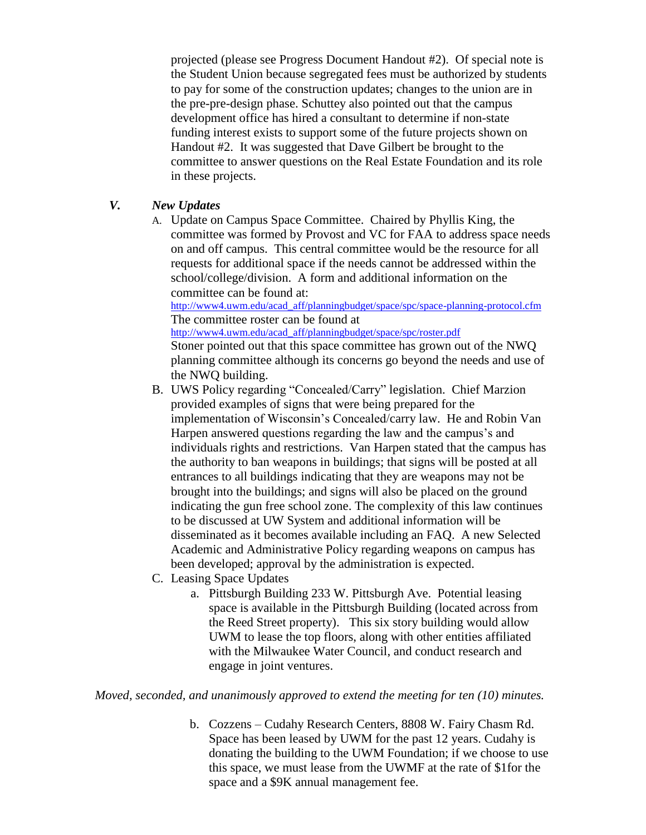projected (please see Progress Document Handout #2). Of special note is the Student Union because segregated fees must be authorized by students to pay for some of the construction updates; changes to the union are in the pre-pre-design phase. Schuttey also pointed out that the campus development office has hired a consultant to determine if non-state funding interest exists to support some of the future projects shown on Handout #2. It was suggested that Dave Gilbert be brought to the committee to answer questions on the Real Estate Foundation and its role in these projects.

## *V. New Updates*

A. Update on Campus Space Committee. Chaired by Phyllis King, the committee was formed by Provost and VC for FAA to address space needs on and off campus. This central committee would be the resource for all requests for additional space if the needs cannot be addressed within the school/college/division. A form and additional information on the committee can be found at: [http://www4.uwm.edu/acad\\_aff/planningbudget/space/spc/space-planning-protocol.cfm](http://www4.uwm.edu/acad_aff/planningbudget/space/spc/space-planning-protocol.cfm)

The committee roster can be found at [http://www4.uwm.edu/acad\\_aff/planningbudget/space/spc/roster.pdf](http://www4.uwm.edu/acad_aff/planningbudget/space/spc/roster.pdf)

Stoner pointed out that this space committee has grown out of the NWQ planning committee although its concerns go beyond the needs and use of the NWQ building.

- B. UWS Policy regarding "Concealed/Carry" legislation. Chief Marzion provided examples of signs that were being prepared for the implementation of Wisconsin's Concealed/carry law. He and Robin Van Harpen answered questions regarding the law and the campus's and individuals rights and restrictions. Van Harpen stated that the campus has the authority to ban weapons in buildings; that signs will be posted at all entrances to all buildings indicating that they are weapons may not be brought into the buildings; and signs will also be placed on the ground indicating the gun free school zone. The complexity of this law continues to be discussed at UW System and additional information will be disseminated as it becomes available including an FAQ. A new Selected Academic and Administrative Policy regarding weapons on campus has been developed; approval by the administration is expected.
- C. Leasing Space Updates
	- a. Pittsburgh Building 233 W. Pittsburgh Ave. Potential leasing space is available in the Pittsburgh Building (located across from the Reed Street property). This six story building would allow UWM to lease the top floors, along with other entities affiliated with the Milwaukee Water Council, and conduct research and engage in joint ventures.

*Moved, seconded, and unanimously approved to extend the meeting for ten (10) minutes.*

b. Cozzens – Cudahy Research Centers, 8808 W. Fairy Chasm Rd. Space has been leased by UWM for the past 12 years. Cudahy is donating the building to the UWM Foundation; if we choose to use this space, we must lease from the UWMF at the rate of \$1for the space and a \$9K annual management fee.